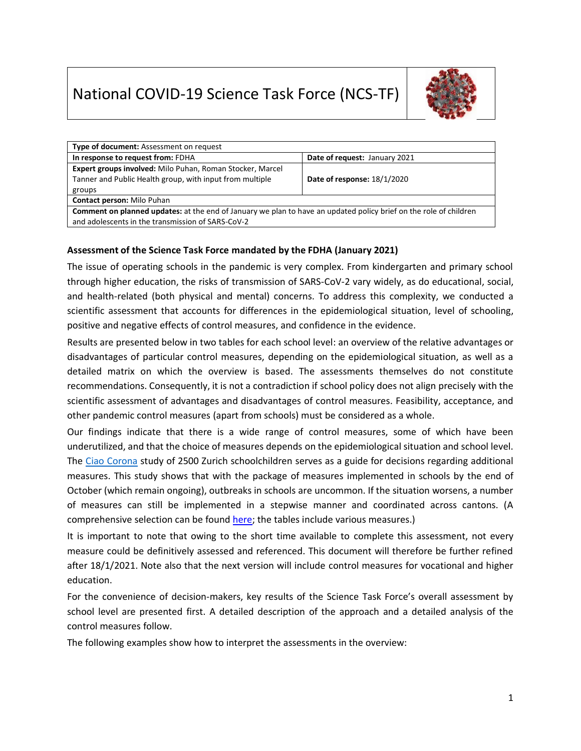# National COVID-19 Science Task Force (NCS-TF)



| Type of document: Assessment on request                                                                                  |                               |  |  |  |  |
|--------------------------------------------------------------------------------------------------------------------------|-------------------------------|--|--|--|--|
| In response to request from: FDHA                                                                                        | Date of request: January 2021 |  |  |  |  |
| Expert groups involved: Milo Puhan, Roman Stocker, Marcel                                                                |                               |  |  |  |  |
| Tanner and Public Health group, with input from multiple                                                                 | Date of response: 18/1/2020   |  |  |  |  |
| groups                                                                                                                   |                               |  |  |  |  |
| <b>Contact person: Milo Puhan</b>                                                                                        |                               |  |  |  |  |
| <b>Comment on planned updates:</b> at the end of January we plan to have an updated policy brief on the role of children |                               |  |  |  |  |
| and adolescents in the transmission of SARS-CoV-2                                                                        |                               |  |  |  |  |

## **Assessment of the Science Task Force mandated by the FDHA (January 2021)**

The issue of operating schools in the pandemic is very complex. From kindergarten and primary school through higher education, the risks of transmission of SARS-CoV-2 vary widely, as do educational, social, and health-related (both physical and mental) concerns. To address this complexity, we conducted a scientific assessment that accounts for differences in the epidemiological situation, level of schooling, positive and negative effects of control measures, and confidence in the evidence.

Results are presented below in two tables for each school level: an overview of the relative advantages or disadvantages of particular control measures, depending on the epidemiological situation, as well as a detailed matrix on which the overview is based. The assessments themselves do not constitute recommendations. Consequently, it is not a contradiction if school policy does not align precisely with the scientific assessment of advantages and disadvantages of control measures. Feasibility, acceptance, and other pandemic control measures (apart from schools) must be considered as a whole.

Our findings indicate that there is a wide range of control measures, some of which have been underutilized, and that the choice of measures depends on the epidemiological situation and school level. The [Ciao Corona](http://www.ciao-corona.ch/) study of 2500 Zurich schoolchildren serves as a guide for decisions regarding additional measures. This study shows that with the package of measures implemented in schools by the end of October (which remain ongoing), outbreaks in schools are uncommon. If the situation worsens, a number of measures can still be implemented in a stepwise manner and coordinated across cantons. (A comprehensive selection can be found [here;](https://healthyschoolscampaign.org/resources/single/schools-for-health-risk-reduction-strategies-for-reopening-schools/) the tables include various measures.)

It is important to note that owing to the short time available to complete this assessment, not every measure could be definitively assessed and referenced. This document will therefore be further refined after 18/1/2021. Note also that the next version will include control measures for vocational and higher education.

For the convenience of decision-makers, key results of the Science Task Force's overall assessment by school level are presented first. A detailed description of the approach and a detailed analysis of the control measures follow.

The following examples show how to interpret the assessments in the overview: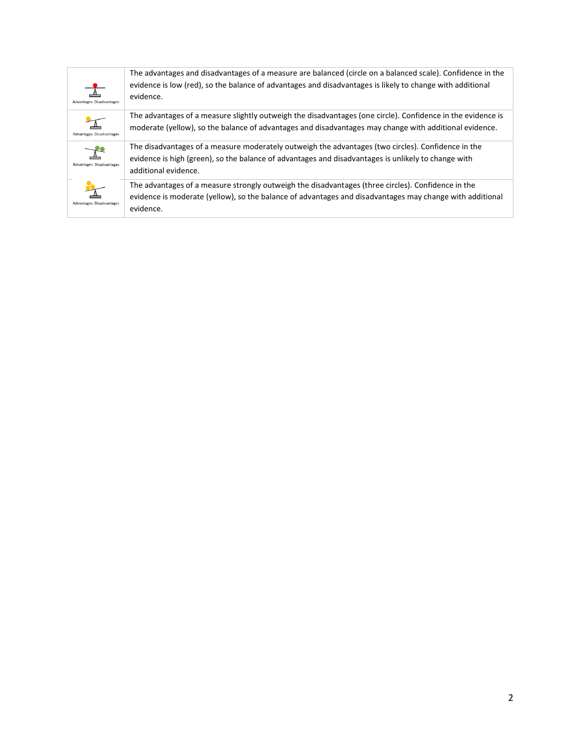| Advantages Disadvantages | The advantages and disadvantages of a measure are balanced (circle on a balanced scale). Confidence in the<br>evidence is low (red), so the balance of advantages and disadvantages is likely to change with additional<br>evidence. |
|--------------------------|--------------------------------------------------------------------------------------------------------------------------------------------------------------------------------------------------------------------------------------|
| Advantages Disadvantages | The advantages of a measure slightly outweigh the disadvantages (one circle). Confidence in the evidence is<br>moderate (yellow), so the balance of advantages and disadvantages may change with additional evidence.                |
| Advantages Disadvantages | The disadvantages of a measure moderately outweigh the advantages (two circles). Confidence in the<br>evidence is high (green), so the balance of advantages and disadvantages is unlikely to change with<br>additional evidence.    |
| Advantages Disadvantages | The advantages of a measure strongly outweigh the disadvantages (three circles). Confidence in the<br>evidence is moderate (yellow), so the balance of advantages and disadvantages may change with additional<br>evidence.          |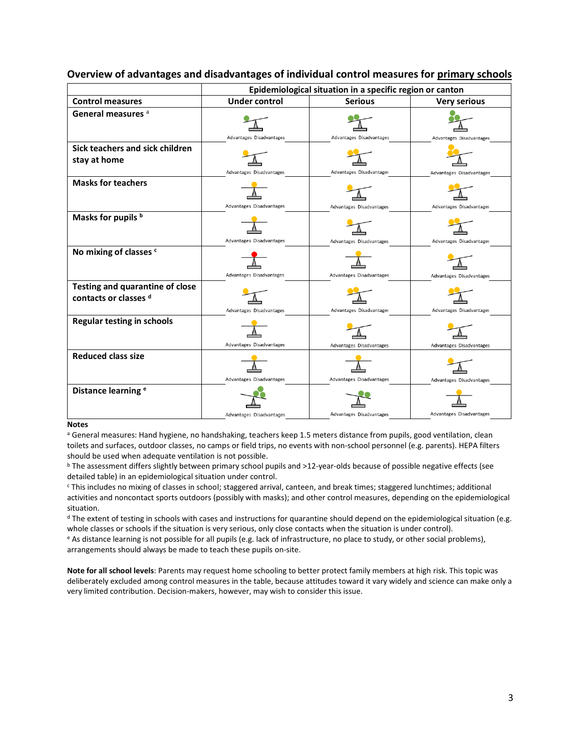|                                                                 | Epidemiological situation in a specific region or canton |                          |                          |  |  |  |  |  |
|-----------------------------------------------------------------|----------------------------------------------------------|--------------------------|--------------------------|--|--|--|--|--|
| <b>Control measures</b>                                         | <b>Under control</b>                                     | <b>Serious</b>           | <b>Very serious</b>      |  |  |  |  |  |
| General measures <sup>a</sup>                                   | Advantages Disadvantages                                 | Advantages Disadvantages | Advantages Disadvantages |  |  |  |  |  |
| Sick teachers and sick children<br>stay at home                 | Advantages Disadvantages                                 | Advantages Disadvantages | Advantages Disadvantages |  |  |  |  |  |
| <b>Masks for teachers</b>                                       | Advantages Disadvantages                                 | Advantages Disadvantages | Advantages Disadvantages |  |  |  |  |  |
| Masks for pupils b                                              | Advantages Disadvantages                                 | Advantages Disadvantages | Advantages Disadvantages |  |  |  |  |  |
| No mixing of classes c                                          | Advantages Disadvantages                                 | Advantages Disadvantages | Advantages Disadvantages |  |  |  |  |  |
| <b>Testing and quarantine of close</b><br>contacts or classes d | Advantages Disadvantages                                 | Advantages Disadvantages | Advantages Disadvantages |  |  |  |  |  |
| <b>Regular testing in schools</b>                               | Advantages Disadvantages                                 | Advantages Disadvantages | Advantages Disadvantages |  |  |  |  |  |
| <b>Reduced class size</b>                                       | Advantages Disadvantages                                 | Advantages Disadvantages | Advantages Disadvantages |  |  |  |  |  |
| Distance learning <sup>e</sup>                                  | Advantages Disadvantages                                 | Advantages Disadvantages | Advantages Disadvantages |  |  |  |  |  |

### **Overview of advantages and disadvantages of individual control measures for primary schools**

#### **Notes**

<sup>a</sup> General measures: Hand hygiene, no handshaking, teachers keep 1.5 meters distance from pupils, good ventilation, clean toilets and surfaces, outdoor classes, no camps or field trips, no events with non-school personnel (e.g. parents). HEPA filters should be used when adequate ventilation is not possible.

<sup>b</sup> The assessment differs slightly between primary school pupils and >12-year-olds because of possible negative effects (see detailed table) in an epidemiological situation under control.

<sup>c</sup> This includes no mixing of classes in school; staggered arrival, canteen, and break times; staggered lunchtimes; additional activities and noncontact sports outdoors (possibly with masks); and other control measures, depending on the epidemiological situation.

 $d$  The extent of testing in schools with cases and instructions for quarantine should depend on the epidemiological situation (e.g. whole classes or schools if the situation is very serious, only close contacts when the situation is under control).

<sup>e</sup> As distance learning is not possible for all pupils (e.g. lack of infrastructure, no place to study, or other social problems), arrangements should always be made to teach these pupils on-site.

**Note for all school levels**: Parents may request home schooling to better protect family members at high risk. This topic was deliberately excluded among control measures in the table, because attitudes toward it vary widely and science can make only a very limited contribution. Decision-makers, however, may wish to consider this issue.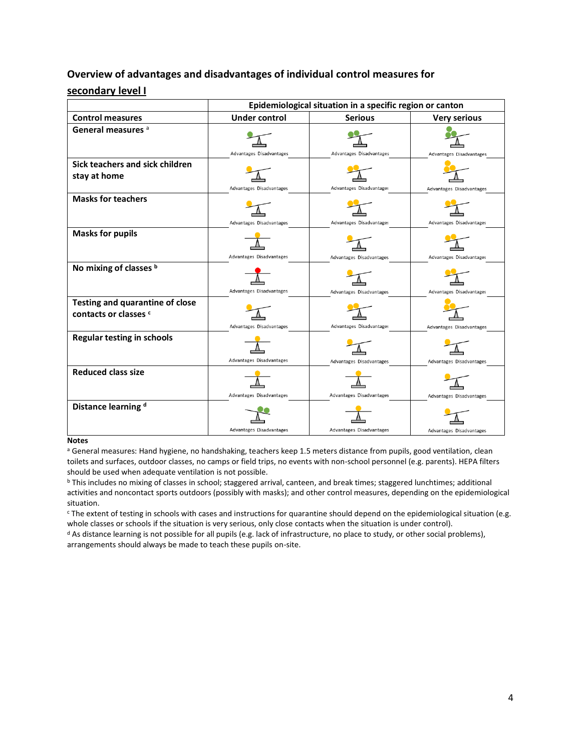# **Overview of advantages and disadvantages of individual control measures for secondary level I**

|                                                                 | Epidemiological situation in a specific region or canton |                          |                          |  |  |  |  |
|-----------------------------------------------------------------|----------------------------------------------------------|--------------------------|--------------------------|--|--|--|--|
| <b>Control measures</b>                                         | <b>Under control</b>                                     | <b>Serious</b>           | <b>Very serious</b>      |  |  |  |  |
| General measures a                                              | Advantages Disadvantages                                 | Advantages Disadvantages | Advantages Disadvantages |  |  |  |  |
| Sick teachers and sick children<br>stay at home                 | Advantages Disadvantages                                 | Advantages Disadvantages | Advantages Disadvantages |  |  |  |  |
| <b>Masks for teachers</b>                                       | Advantages Disadvantages                                 | Advantages Disadvantages | Advantages Disadvantages |  |  |  |  |
| <b>Masks for pupils</b>                                         | Advantages Disadvantages                                 | Advantages Disadvantages | Advantages Disadvantages |  |  |  |  |
| No mixing of classes b                                          | Advantages Disadvantages                                 | Advantages Disadvantages | Advantages Disadvantages |  |  |  |  |
| <b>Testing and quarantine of close</b><br>contacts or classes c | Advantages Disadvantages                                 | Advantages Disadvantages | Advantages Disadvantages |  |  |  |  |
| <b>Regular testing in schools</b>                               | Advantages Disadvantages                                 | Advantages Disadvantages | Advantages Disadvantages |  |  |  |  |
| <b>Reduced class size</b>                                       | Advantages Disadvantages                                 | Advantages Disadvantages | Advantages Disadvantages |  |  |  |  |
| Distance learning d                                             | Advantages Disadvantages                                 | Advantages Disadvantages | Advantages Disadvantages |  |  |  |  |

### **Notes**

a General measures: Hand hygiene, no handshaking, teachers keep 1.5 meters distance from pupils, good ventilation, clean toilets and surfaces, outdoor classes, no camps or field trips, no events with non-school personnel (e.g. parents). HEPA filters should be used when adequate ventilation is not possible.

<sup>c</sup> The extent of testing in schools with cases and instructions for quarantine should depend on the epidemiological situation (e.g. whole classes or schools if the situation is very serious, only close contacts when the situation is under control).

<sup>d</sup> As distance learning is not possible for all pupils (e.g. lack of infrastructure, no place to study, or other social problems), arrangements should always be made to teach these pupils on-site.

<sup>b</sup> This includes no mixing of classes in school; staggered arrival, canteen, and break times; staggered lunchtimes; additional activities and noncontact sports outdoors (possibly with masks); and other control measures, depending on the epidemiological situation.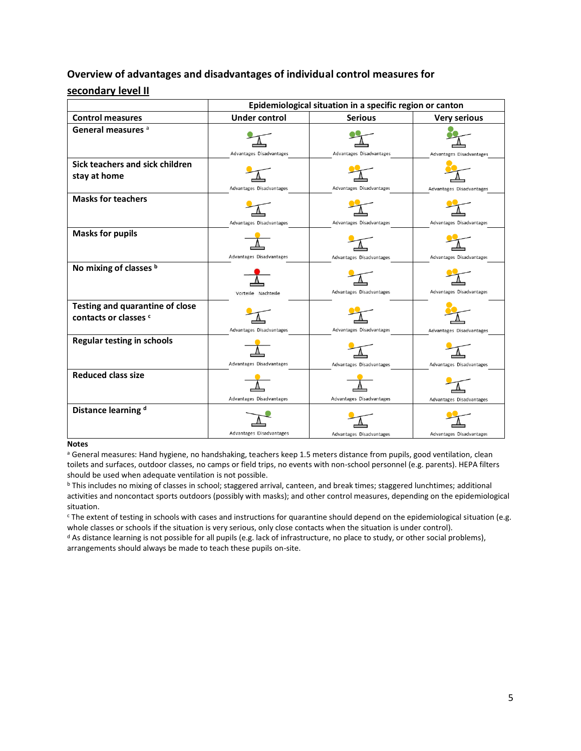# **Overview of advantages and disadvantages of individual control measures for secondary level II**

|                                                                 | Epidemiological situation in a specific region or canton |                          |                          |  |  |  |  |  |
|-----------------------------------------------------------------|----------------------------------------------------------|--------------------------|--------------------------|--|--|--|--|--|
| <b>Control measures</b>                                         | <b>Under control</b>                                     | <b>Serious</b>           | <b>Very serious</b>      |  |  |  |  |  |
| General measures <sup>a</sup>                                   | Advantages Disadvantages                                 | Advantages Disadvantages | Advantages Disadvantages |  |  |  |  |  |
| Sick teachers and sick children<br>stay at home                 | Advantages Disadvantages                                 | Advantages Disadvantages | Advantages Disadvantages |  |  |  |  |  |
| <b>Masks for teachers</b>                                       | Advantages Disadvantages                                 | Advantages Disadvantages | Advantages Disadvantages |  |  |  |  |  |
| <b>Masks for pupils</b>                                         | Advantages Disadvantages                                 | Advantages Disadvantages | Advantages Disadvantages |  |  |  |  |  |
| No mixing of classes b                                          | Vorteile Nachteile                                       | Advantages Disadvantages | Advantages Disadvantages |  |  |  |  |  |
| <b>Testing and quarantine of close</b><br>contacts or classes c | Advantages Disadvantages                                 | Advantages Disadvantages | Advantages Disadvantages |  |  |  |  |  |
| <b>Regular testing in schools</b>                               | Advantages Disadvantages                                 | Advantages Disadvantages | Advantages Disadvantages |  |  |  |  |  |
| <b>Reduced class size</b>                                       | Advantages Disadvantages                                 | Advantages Disadvantages | Advantages Disadvantages |  |  |  |  |  |
| Distance learning d                                             | Advantages Disadvantages                                 | Advantages Disadvantages | Advantages Disadvantages |  |  |  |  |  |

### **Notes**

a General measures: Hand hygiene, no handshaking, teachers keep 1.5 meters distance from pupils, good ventilation, clean toilets and surfaces, outdoor classes, no camps or field trips, no events with non-school personnel (e.g. parents). HEPA filters should be used when adequate ventilation is not possible.

<sup>b</sup> This includes no mixing of classes in school; staggered arrival, canteen, and break times; staggered lunchtimes; additional activities and noncontact sports outdoors (possibly with masks); and other control measures, depending on the epidemiological situation.

<sup>c</sup> The extent of testing in schools with cases and instructions for quarantine should depend on the epidemiological situation (e.g. whole classes or schools if the situation is very serious, only close contacts when the situation is under control).

<sup>d</sup> As distance learning is not possible for all pupils (e.g. lack of infrastructure, no place to study, or other social problems), arrangements should always be made to teach these pupils on-site.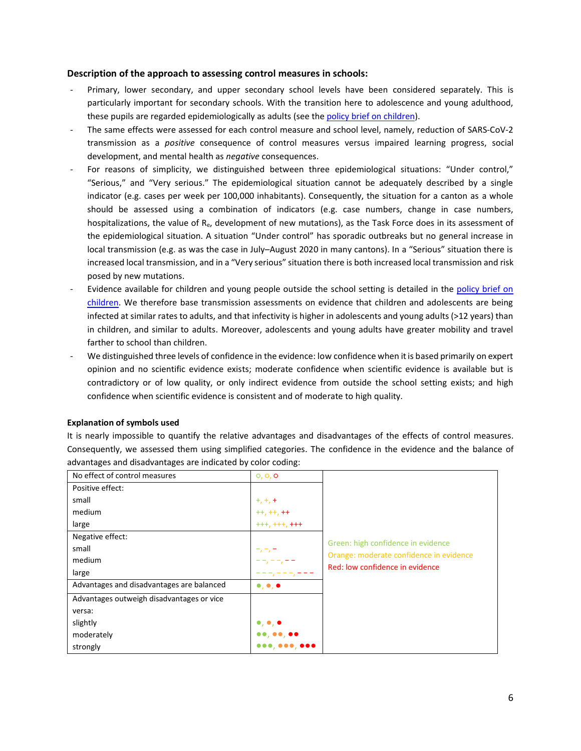### **Description of the approach to assessing control measures in schools:**

- Primary, lower secondary, and upper secondary school levels have been considered separately. This is particularly important for secondary schools. With the transition here to adolescence and young adulthood, these pupils are regarded epidemiologically as adults (see th[e policy brief](https://sciencetaskforce.ch/en/policy-brief/the-role-of-children-and-adolescents-0-18-years-of-age-in-the-transmission-of-sars-cov-2-2/) on children).
- The same effects were assessed for each control measure and school level, namely, reduction of SARS-CoV-2 transmission as a *positive* consequence of control measures versus impaired learning progress, social development, and mental health as *negative* consequences.
- For reasons of simplicity, we distinguished between three epidemiological situations: "Under control," "Serious," and "Very serious." The epidemiological situation cannot be adequately described by a single indicator (e.g. cases per week per 100,000 inhabitants). Consequently, the situation for a canton as a whole should be assessed using a combination of indicators (e.g. case numbers, change in case numbers, hospitalizations, the value of Re, development of new mutations), as the Task Force does in its assessment of the epidemiological situation. A situation "Under control" has sporadic outbreaks but no general increase in local transmission (e.g. as was the case in July–August 2020 in many cantons). In a "Serious" situation there is increased local transmission, and in a "Very serious" situation there is both increased local transmission and risk posed by new mutations.
- Evidence available for children and young people outside the school setting is detailed in the policy brief on [children.](https://sciencetaskforce.ch/en/policy-brief/the-role-of-children-and-adolescents-0-18-years-of-age-in-the-transmission-of-sars-cov-2-2/) We therefore base transmission assessments on evidence that children and adolescents are being infected at similar rates to adults, and that infectivity is higher in adolescents and young adults (>12 years) than in children, and similar to adults. Moreover, adolescents and young adults have greater mobility and travel farther to school than children.
- We distinguished three levels of confidence in the evidence: low confidence when it is based primarily on expert opinion and no scientific evidence exists; moderate confidence when scientific evidence is available but is contradictory or of low quality, or only indirect evidence from outside the school setting exists; and high confidence when scientific evidence is consistent and of moderate to high quality.

### **Explanation of symbols used**

It is nearly impossible to quantify the relative advantages and disadvantages of the effects of control measures. Consequently, we assessed them using simplified categories. The confidence in the evidence and the balance of advantages and disadvantages are indicated by color coding:

| No effect of control measures             | 0, 0, 0                           |                                                                            |
|-------------------------------------------|-----------------------------------|----------------------------------------------------------------------------|
| Positive effect:                          |                                   |                                                                            |
| small                                     | $+,+,+$                           |                                                                            |
| medium                                    | $++, ++, ++$                      |                                                                            |
| large                                     | $+++, ++, +++$                    |                                                                            |
| Negative effect:                          |                                   |                                                                            |
| small                                     | -, -, ·                           | Green: high confidence in evidence                                         |
| medium                                    |                                   | Orange: moderate confidence in evidence<br>Red: low confidence in evidence |
| large                                     | т,<br><u>т,</u>                   |                                                                            |
| Advantages and disadvantages are balanced | $\bullet, \bullet, \bullet$       |                                                                            |
| Advantages outweigh disadvantages or vice |                                   |                                                                            |
| versa:                                    |                                   |                                                                            |
| slightly                                  | $\bullet$ , $\bullet$ , $\bullet$ |                                                                            |
| moderately                                | 00, 00, 00                        |                                                                            |
| strongly                                  |                                   |                                                                            |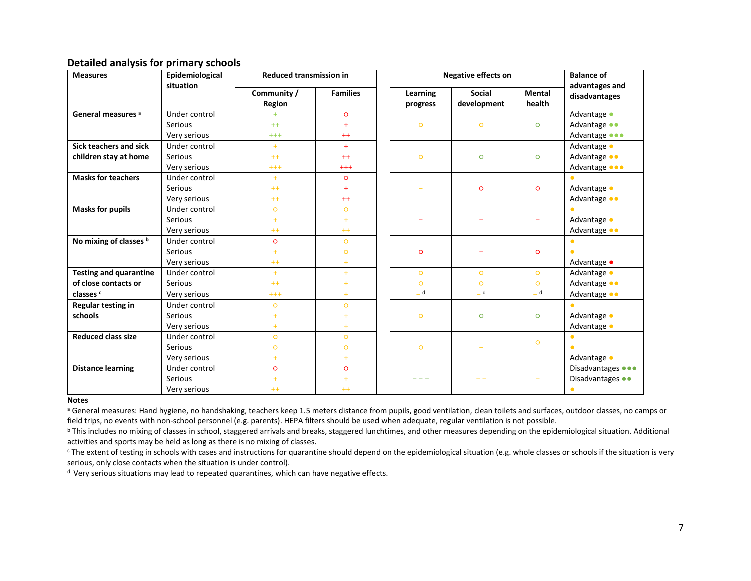# **Detailed analysis for primary schools**

| <b>Measures</b>               | Epidemiological | <b>Reduced transmission in</b> |                 | <b>Negative effects on</b> |               |               | <b>Balance of</b> |  |
|-------------------------------|-----------------|--------------------------------|-----------------|----------------------------|---------------|---------------|-------------------|--|
|                               | situation       | Community /                    | <b>Families</b> | Learning                   | <b>Social</b> | <b>Mental</b> | advantages and    |  |
|                               |                 | Region                         |                 | progress                   | development   | health        | disadvantages     |  |
| General measures <sup>a</sup> | Under control   | ÷.                             | $\circ$         |                            |               |               | Advantage •       |  |
|                               | Serious         | $++$                           | Ŧ               | $\circ$                    | $\circ$       | $\circ$       | Advantage ••      |  |
|                               | Very serious    | $^{+++}$                       | $^{++}$         |                            |               |               | Advantage <b></b> |  |
| <b>Sick teachers and sick</b> | Under control   | $+$                            | $+$             |                            |               |               | Advantage •       |  |
| children stay at home         | <b>Serious</b>  | $++$                           | $++$            | $\circ$                    | $\circ$       | $\circ$       | Advantage ••      |  |
|                               | Very serious    | $^{+++}$                       | $^{+++}$        |                            |               |               | Advantage <b></b> |  |
| <b>Masks for teachers</b>     | Under control   | $+$                            | $\circ$         |                            |               |               |                   |  |
|                               | <b>Serious</b>  | $++$                           | $\ddot{}$       |                            | $\circ$       | $\circ$       | Advantage •       |  |
|                               | Very serious    | $++$                           | $++$            |                            |               |               | Advantage ••      |  |
| <b>Masks for pupils</b>       | Under control   | $\circ$                        | $\circ$         |                            |               |               |                   |  |
|                               | <b>Serious</b>  | $+$                            | $+$             |                            |               |               | Advantage •       |  |
|                               | Very serious    | $++$                           | $++$            |                            |               |               | Advantage ••      |  |
| No mixing of classes b        | Under control   | $\circ$                        | $\circ$         |                            |               |               |                   |  |
|                               | Serious         | ÷                              | $\circ$         | $\circ$                    |               | $\circ$       |                   |  |
|                               | Very serious    | $++$                           | $+$             |                            |               |               | Advantage •       |  |
| <b>Testing and quarantine</b> | Under control   | $+$                            | $+$             | $\circ$                    | $\circ$       | $\circ$       | Advantage •       |  |
| of close contacts or          | <b>Serious</b>  | $++$                           | ÷               | $\circ$                    | $\circ$       | $\circ$       | Advantage ••      |  |
| classes <sup>c</sup>          | Very serious    | $^{+++}$                       | ÷               | _ d                        | _ d           | $-d$          | Advantage ••      |  |
| Regular testing in            | Under control   | $\circ$                        | $\circ$         |                            |               |               |                   |  |
| schools                       | <b>Serious</b>  |                                | Ŧ               | $\circ$                    | $\circ$       | $\circ$       | Advantage •       |  |
|                               | Very serious    | $+$                            | $+$             |                            |               |               | Advantage •       |  |
| <b>Reduced class size</b>     | Under control   | $\circ$                        | $\circ$         |                            |               | $\circ$       |                   |  |
|                               | <b>Serious</b>  | $\circ$                        | $\circ$         | $\circ$                    |               |               |                   |  |
|                               | Very serious    | $+$                            | $+$             |                            |               |               | Advantage •       |  |
| <b>Distance learning</b>      | Under control   | $\circ$                        | $\circ$         |                            |               |               | Disadvantages ••• |  |
|                               | <b>Serious</b>  |                                | ÷               |                            |               |               | Disadvantages ••  |  |
|                               | Very serious    | $++$                           | $^{++}$         |                            |               |               |                   |  |

#### **Notes**

<sup>a</sup> General measures: Hand hygiene, no handshaking, teachers keep 1.5 meters distance from pupils, good ventilation, clean toilets and surfaces, outdoor classes, no camps or field trips, no events with non-school personnel (e.g. parents). HEPA filters should be used when adequate, regular ventilation is not possible.

**b** This includes no mixing of classes in school, staggered arrivals and breaks, staggered lunchtimes, and other measures depending on the epidemiological situation. Additional activities and sports may be held as long as there is no mixing of classes.

<sup>c</sup> The extent of testing in schools with cases and instructions for quarantine should depend on the epidemiological situation (e.g. whole classes or schools if the situation is very serious, only close contacts when the situation is under control).

<sup>d</sup> Very serious situations may lead to repeated quarantines, which can have negative effects.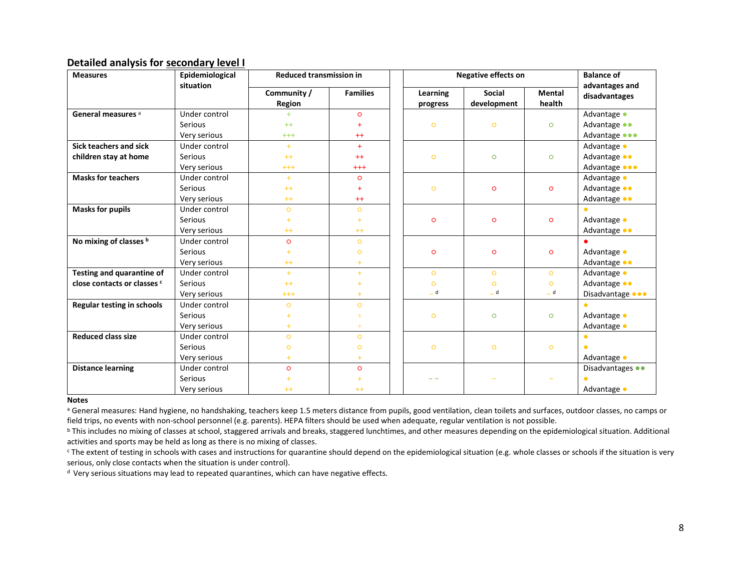# **Detailed analysis for secondary level I**

| <b>Measures</b>                   | Epidemiological | <b>Reduced transmission in</b> |                      |  | <b>Negative effects on</b> | <b>Balance of</b> |               |                                 |
|-----------------------------------|-----------------|--------------------------------|----------------------|--|----------------------------|-------------------|---------------|---------------------------------|
|                                   | situation       | Community /                    | <b>Families</b>      |  | Learning                   | Social            | <b>Mental</b> | advantages and<br>disadvantages |
|                                   |                 | Region                         |                      |  | progress                   | development       | health        |                                 |
| General measures <sup>a</sup>     | Under control   | $+$                            | $\circ$              |  |                            |                   |               | Advantage •                     |
|                                   | Serious         | $++$                           | $\ddot{}$            |  | $\circ$                    | $\circ$           | $\circ$       | Advantage ••                    |
|                                   | Very serious    | $^{+++}$                       | $++$                 |  |                            |                   |               | Advantage •••                   |
| Sick teachers and sick            | Under control   | $+$                            | $+$                  |  |                            |                   |               | Advantage •                     |
| children stay at home             | <b>Serious</b>  | $++$                           | $++$                 |  | $\circ$                    | $\circ$           | $\circ$       | Advantage ••                    |
|                                   | Very serious    | $^{+++}$                       | $^{+++}$             |  |                            |                   |               | Advantage •••                   |
| <b>Masks for teachers</b>         | Under control   | $+$                            | $\circ$              |  |                            |                   | $\circ$       | Advantage •                     |
|                                   | <b>Serious</b>  | $++$                           | $+$                  |  | $\circ$                    | $\circ$           |               | Advantage ••                    |
|                                   | Very serious    | $^{++}$                        | $++$                 |  |                            |                   |               | Advantage ••                    |
| <b>Masks for pupils</b>           | Under control   | $\circ$                        | $\circ$              |  |                            |                   |               |                                 |
|                                   | <b>Serious</b>  | $\ddot{}$                      | $\ddot{\phantom{1}}$ |  | $\circ$                    | $\circ$           | $\circ$       | Advantage •                     |
|                                   | Very serious    | $++$                           | $++$                 |  |                            |                   |               | Advantage ••                    |
| No mixing of classes b            | Under control   | $\circ$                        | $\circ$              |  |                            |                   |               |                                 |
|                                   | <b>Serious</b>  | $\ddot{}$                      | $\circ$              |  | $\circ$                    | $\circ$           | $\circ$       | Advantage •                     |
|                                   | Very serious    | $^{++}$                        | $+$                  |  |                            |                   |               | Advantage ••                    |
| Testing and quarantine of         | Under control   | $+$                            | $+$                  |  | $\circ$                    | $\circ$           | $\circ$       | Advantage •                     |
| close contacts or classes c       | <b>Serious</b>  | $++$                           | ÷                    |  | $\circ$                    | $\circ$           | $\circ$       | Advantage ••                    |
|                                   | Very serious    | $^{+++}$                       | $+$                  |  | _ d                        | $= d$             | $= d$         | Disadvantage <b>OR</b>          |
| <b>Regular testing in schools</b> | Under control   | $\circ$                        | $\circ$              |  |                            |                   |               |                                 |
|                                   | <b>Serious</b>  | $\ddot{\phantom{1}}$           |                      |  | $\circ$                    | $\circ$           | $\circ$       | Advantage •                     |
|                                   | Very serious    | $\ddot{\phantom{1}}$           | $+$                  |  |                            |                   |               | Advantage •                     |
| <b>Reduced class size</b>         | Under control   | $\circ$                        | $\circ$              |  |                            |                   |               |                                 |
|                                   | <b>Serious</b>  | $\circ$                        | $\circ$              |  | $\circ$                    | $\circ$           | $\circ$       |                                 |
|                                   | Very serious    | $+$                            | $+$                  |  |                            |                   |               | Advantage •                     |
| <b>Distance learning</b>          | Under control   | $\circ$                        | $\circ$              |  |                            |                   |               | Disadvantages ••                |
|                                   | Serious         |                                |                      |  |                            |                   |               | $\bullet$                       |
|                                   | Very serious    | $^{++}$                        | $++$                 |  |                            |                   |               | Advantage •                     |

#### **Notes**

<sup>a</sup> General measures: Hand hygiene, no handshaking, teachers keep 1.5 meters distance from pupils, good ventilation, clean toilets and surfaces, outdoor classes, no camps or field trips, no events with non-school personnel (e.g. parents). HEPA filters should be used when adequate, regular ventilation is not possible.

**b** This includes no mixing of classes at school, staggered arrivals and breaks, staggered lunchtimes, and other measures depending on the epidemiological situation. Additional activities and sports may be held as long as there is no mixing of classes.

<sup>c</sup> The extent of testing in schools with cases and instructions for quarantine should depend on the epidemiological situation (e.g. whole classes or schools if the situation is very serious, only close contacts when the situation is under control).

<sup>d</sup> Very serious situations may lead to repeated quarantines, which can have negative effects.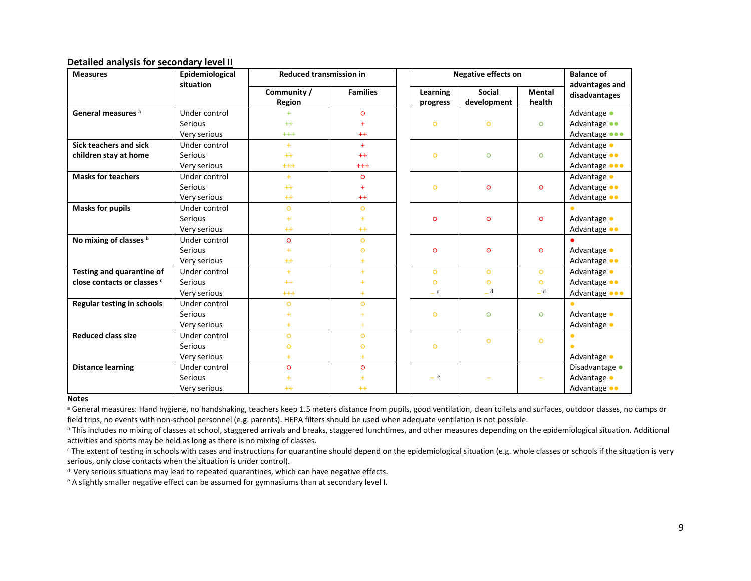### **Detailed analysis for secondary level II**

| <b>Measures</b>                   | Epidemiological<br>situation | <b>Reduced transmission in</b> |                 | <b>Negative effects on</b> | <b>Balance of</b>            |                         |                                 |
|-----------------------------------|------------------------------|--------------------------------|-----------------|----------------------------|------------------------------|-------------------------|---------------------------------|
|                                   |                              | Community /<br><b>Region</b>   | <b>Families</b> | Learning<br>progress       | <b>Social</b><br>development | <b>Mental</b><br>health | advantages and<br>disadvantages |
| General measures <sup>a</sup>     | Under control                | $+$                            | $\circ$         |                            |                              |                         | Advantage •                     |
|                                   | Serious                      | $++$                           | ÷               | $\circ$                    | $\circ$                      | $\circ$                 | Advantage ••                    |
|                                   | Very serious                 | $^{+++}$                       | $++$            |                            |                              |                         | Advantage <b></b>               |
| Sick teachers and sick            | Under control                | $+$                            | $+$             |                            |                              |                         | Advantage •                     |
| children stay at home             | Serious                      | $++$                           | $++$            | $\circ$                    | $\circ$                      | $\circ$                 | Advantage ••                    |
|                                   | Very serious                 | $^{+++}$                       | $^{+++}$        |                            |                              |                         | Advantage <b>OOO</b>            |
| <b>Masks for teachers</b>         | Under control                | $+$                            | $\circ$         |                            |                              |                         | Advantage •                     |
|                                   | Serious                      | $++$                           | $\ddot{}$       | $\circ$                    | $\circ$                      | $\circ$                 | Advantage ••                    |
|                                   | Very serious                 | $++$                           | $++$            |                            |                              |                         | Advantage ••                    |
| <b>Masks for pupils</b>           | Under control                | $\circ$                        | $\circ$         |                            |                              |                         |                                 |
|                                   | Serious                      | ÷                              | ÷.              | $\circ$                    | $\circ$                      | $\circ$                 | Advantage •                     |
|                                   | Very serious                 | $++$                           | $++$            |                            |                              |                         | Advantage ••                    |
| No mixing of classes b            | Under control                | $\circ$                        | $\circ$         |                            |                              |                         |                                 |
|                                   | <b>Serious</b>               |                                | $\circ$         | $\circ$                    | $\circ$                      | $\circ$                 | Advantage •                     |
|                                   | Very serious                 | $++$                           | $\ddot{}$       |                            |                              |                         | Advantage ••                    |
| Testing and quarantine of         | Under control                | $+$                            | $+$             | $\circ$                    | $\circ$                      | $\circ$                 | Advantage •                     |
| close contacts or classes c       | Serious                      | $++$                           |                 | $\circ$                    | $\circ$                      | $\circ$                 | Advantage ••                    |
|                                   | Very serious                 | $^{+++}$                       | $+$             | _ d                        | $-d$                         | _ d                     | Advantage <b></b>               |
| <b>Regular testing in schools</b> | Under control                | $\circ$                        | $\circ$         |                            |                              |                         | $\bullet$                       |
|                                   | Serious                      |                                |                 | $\circ$                    | $\circ$                      | $\circ$                 | Advantage •                     |
|                                   | Very serious                 | $+$                            | ÷               |                            |                              |                         | Advantage •                     |
| <b>Reduced class size</b>         | Under control                | $\circ$                        | $\circ$         |                            |                              |                         | $\bullet$                       |
|                                   | Serious                      | $\circ$                        | $\circ$         | $\circ$                    | $\circ$                      | $\circ$                 | ٠                               |
|                                   | Very serious                 | $+$                            | $+$             |                            |                              |                         | Advantage •                     |
| <b>Distance learning</b>          | Under control                | $\circ$                        | $\circ$         |                            |                              |                         | Disadvantage •                  |
|                                   | Serious                      |                                |                 | $-$ e                      |                              |                         | Advantage •                     |
|                                   | Very serious                 | $++$                           | $++$            |                            |                              |                         | Advantage ••                    |

#### **Notes**

a General measures: Hand hygiene, no handshaking, teachers keep 1.5 meters distance from pupils, good ventilation, clean toilets and surfaces, outdoor classes, no camps or field trips, no events with non-school personnel (e.g. parents). HEPA filters should be used when adequate ventilation is not possible.

<sup>b</sup> This includes no mixing of classes at school, staggered arrivals and breaks, staggered lunchtimes, and other measures depending on the epidemiological situation. Additional activities and sports may be held as long as there is no mixing of classes.

<sup>c</sup> The extent of testing in schools with cases and instructions for quarantine should depend on the epidemiological situation (e.g. whole classes or schools if the situation is very serious, only close contacts when the situation is under control).

<sup>d</sup> Very serious situations may lead to repeated quarantines, which can have negative effects.

<sup>e</sup> A slightly smaller negative effect can be assumed for gymnasiums than at secondary level I.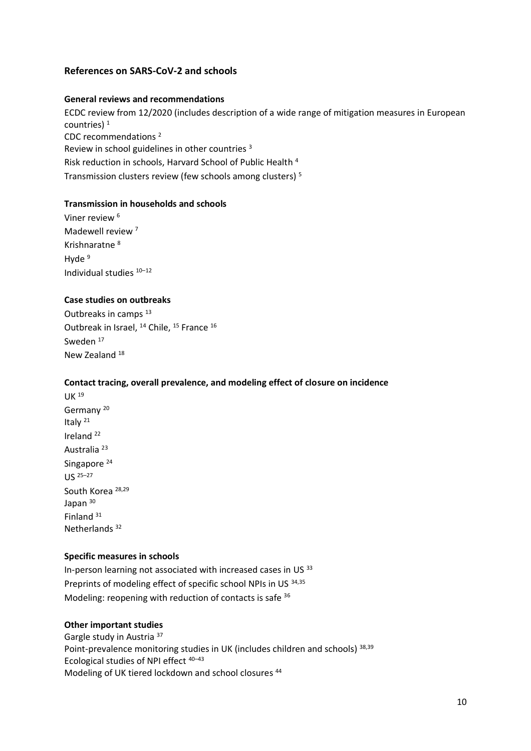# **References on SARS-CoV-2 and schools**

### **General reviews and recommendations**

ECDC review from 12/2020 (includes description of a wide range of mitigation measures in European countries)<sup>1</sup> CDC recommendations <sup>2</sup> Review in school guidelines in other countries <sup>3</sup> Risk reduction in schools, Harvard School of Public Health <sup>4</sup> Transmission clusters review (few schools among clusters) <sup>5</sup>

# **Transmission in households and schools**

Viner review <sup>6</sup> Madewell review<sup>7</sup> Krishnaratne <sup>8</sup> Hyde<sup>9</sup> Individual studies <sup>10</sup>–<sup>12</sup>

## **Case studies on outbreaks**

Outbreaks in camps <sup>13</sup> Outbreak in Israel, <sup>14</sup> Chile, <sup>15</sup> France <sup>16</sup> Sweden<sup>17</sup> New Zealand<sup>18</sup>

### **Contact tracing, overall prevalence, and modeling effect of closure on incidence**

UK <sup>19</sup> Germany <sup>20</sup> Italy <sup>21</sup> Ireland <sup>22</sup> Australia <sup>23</sup> Singapore<sup>24</sup> US <sup>25</sup>–<sup>27</sup> South Korea 28,29 Japan 30 Finland <sup>31</sup> Netherlands <sup>32</sup>

### **Specific measures in schools**

In-person learning not associated with increased cases in US 33 Preprints of modeling effect of specific school NPIs in US 34,35 Modeling: reopening with reduction of contacts is safe <sup>36</sup>

### **Other important studies**

Gargle study in Austria <sup>37</sup> Point-prevalence monitoring studies in UK (includes children and schools) 38,39 Ecological studies of NPI effect <sup>40</sup>–<sup>43</sup> Modeling of UK tiered lockdown and school closures 44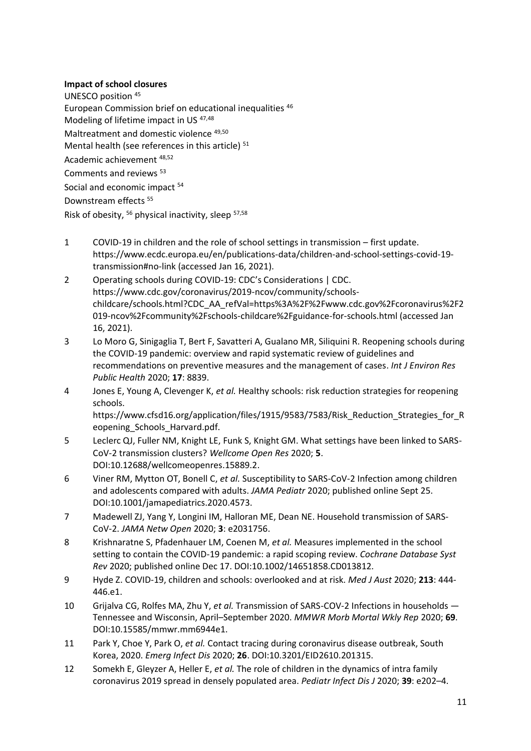# **Impact of school closures**

UNESCO position <sup>45</sup> European Commission brief on educational inequalities <sup>46</sup> Modeling of lifetime impact in US 47,48 Maltreatment and domestic violence 49,50 Mental health (see references in this article)<sup>51</sup> Academic achievement 48,52 Comments and reviews <sup>53</sup> Social and economic impact <sup>54</sup> Downstream effects<sup>55</sup> Risk of obesity, <sup>56</sup> physical inactivity, sleep <sup>57,58</sup>

- 1 COVID-19 in children and the role of school settings in transmission first update. https://www.ecdc.europa.eu/en/publications-data/children-and-school-settings-covid-19 transmission#no-link (accessed Jan 16, 2021).
- 2 Operating schools during COVID-19: CDC's Considerations | CDC. https://www.cdc.gov/coronavirus/2019-ncov/community/schoolschildcare/schools.html?CDC\_AA\_refVal=https%3A%2F%2Fwww.cdc.gov%2Fcoronavirus%2F2 019-ncov%2Fcommunity%2Fschools-childcare%2Fguidance-for-schools.html (accessed Jan 16, 2021).
- 3 Lo Moro G, Sinigaglia T, Bert F, Savatteri A, Gualano MR, Siliquini R. Reopening schools during the COVID-19 pandemic: overview and rapid systematic review of guidelines and recommendations on preventive measures and the management of cases. *Int J Environ Res Public Health* 2020; **17**: 8839.
- 4 Jones E, Young A, Clevenger K, *et al.* Healthy schools: risk reduction strategies for reopening schools. https://www.cfsd16.org/application/files/1915/9583/7583/Risk\_Reduction\_Strategies\_for\_R eopening\_Schools\_Harvard.pdf.
- 5 Leclerc QJ, Fuller NM, Knight LE, Funk S, Knight GM. What settings have been linked to SARS-CoV-2 transmission clusters? *Wellcome Open Res* 2020; **5**. DOI:10.12688/wellcomeopenres.15889.2.
- 6 Viner RM, Mytton OT, Bonell C, *et al.* Susceptibility to SARS-CoV-2 Infection among children and adolescents compared with adults. *JAMA Pediatr* 2020; published online Sept 25. DOI:10.1001/jamapediatrics.2020.4573.
- 7 Madewell ZJ, Yang Y, Longini IM, Halloran ME, Dean NE. Household transmission of SARS-CoV-2. *JAMA Netw Open* 2020; **3**: e2031756.
- 8 Krishnaratne S, Pfadenhauer LM, Coenen M, *et al.* Measures implemented in the school setting to contain the COVID-19 pandemic: a rapid scoping review. *Cochrane Database Syst Rev* 2020; published online Dec 17. DOI:10.1002/14651858.CD013812.
- 9 Hyde Z. COVID-19, children and schools: overlooked and at risk. *Med J Aust* 2020; **213**: 444- 446.e1.
- 10 Grijalva CG, Rolfes MA, Zhu Y, *et al.* Transmission of SARS-COV-2 Infections in households Tennessee and Wisconsin, April–September 2020. *MMWR Morb Mortal Wkly Rep* 2020; **69**. DOI:10.15585/mmwr.mm6944e1.
- 11 Park Y, Choe Y, Park O, *et al.* Contact tracing during coronavirus disease outbreak, South Korea, 2020. *Emerg Infect Dis* 2020; **26**. DOI:10.3201/EID2610.201315.
- 12 Somekh E, Gleyzer A, Heller E, *et al.* The role of children in the dynamics of intra family coronavirus 2019 spread in densely populated area. *Pediatr Infect Dis J* 2020; **39**: e202–4.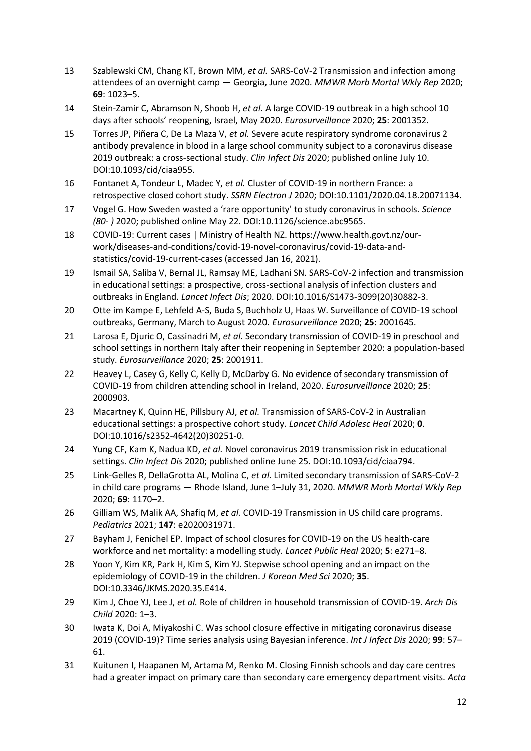- 13 Szablewski CM, Chang KT, Brown MM, *et al.* SARS-CoV-2 Transmission and infection among attendees of an overnight camp — Georgia, June 2020. *MMWR Morb Mortal Wkly Rep* 2020; **69**: 1023–5.
- 14 Stein-Zamir C, Abramson N, Shoob H, *et al.* A large COVID-19 outbreak in a high school 10 days after schools' reopening, Israel, May 2020. *Eurosurveillance* 2020; **25**: 2001352.
- 15 Torres JP, Piñera C, De La Maza V, *et al.* Severe acute respiratory syndrome coronavirus 2 antibody prevalence in blood in a large school community subject to a coronavirus disease 2019 outbreak: a cross-sectional study. *Clin Infect Dis* 2020; published online July 10. DOI:10.1093/cid/ciaa955.
- 16 Fontanet A, Tondeur L, Madec Y, *et al.* Cluster of COVID-19 in northern France: a retrospective closed cohort study. *SSRN Electron J* 2020; DOI:10.1101/2020.04.18.20071134.
- 17 Vogel G. How Sweden wasted a 'rare opportunity' to study coronavirus in schools. *Science (80- )* 2020; published online May 22. DOI:10.1126/science.abc9565.
- 18 COVID-19: Current cases | Ministry of Health NZ. https://www.health.govt.nz/ourwork/diseases-and-conditions/covid-19-novel-coronavirus/covid-19-data-andstatistics/covid-19-current-cases (accessed Jan 16, 2021).
- 19 Ismail SA, Saliba V, Bernal JL, Ramsay ME, Ladhani SN. SARS-CoV-2 infection and transmission in educational settings: a prospective, cross-sectional analysis of infection clusters and outbreaks in England. *Lancet Infect Dis*; 2020. DOI:10.1016/S1473-3099(20)30882-3.
- 20 Otte im Kampe E, Lehfeld A-S, Buda S, Buchholz U, Haas W. Surveillance of COVID-19 school outbreaks, Germany, March to August 2020. *Eurosurveillance* 2020; **25**: 2001645.
- 21 Larosa E, Djuric O, Cassinadri M, *et al.* Secondary transmission of COVID-19 in preschool and school settings in northern Italy after their reopening in September 2020: a population-based study. *Eurosurveillance* 2020; **25**: 2001911.
- 22 Heavey L, Casey G, Kelly C, Kelly D, McDarby G. No evidence of secondary transmission of COVID-19 from children attending school in Ireland, 2020. *Eurosurveillance* 2020; **25**: 2000903.
- 23 Macartney K, Quinn HE, Pillsbury AJ, *et al.* Transmission of SARS-CoV-2 in Australian educational settings: a prospective cohort study. *Lancet Child Adolesc Heal* 2020; **0**. DOI:10.1016/s2352-4642(20)30251-0.
- 24 Yung CF, Kam K, Nadua KD, *et al.* Novel coronavirus 2019 transmission risk in educational settings. *Clin Infect Dis* 2020; published online June 25. DOI:10.1093/cid/ciaa794.
- 25 Link-Gelles R, DellaGrotta AL, Molina C, *et al.* Limited secondary transmission of SARS-CoV-2 in child care programs — Rhode Island, June 1–July 31, 2020. *MMWR Morb Mortal Wkly Rep* 2020; **69**: 1170–2.
- 26 Gilliam WS, Malik AA, Shafiq M, *et al.* COVID-19 Transmission in US child care programs. *Pediatrics* 2021; **147**: e2020031971.
- 27 Bayham J, Fenichel EP. Impact of school closures for COVID-19 on the US health-care workforce and net mortality: a modelling study. *Lancet Public Heal* 2020; **5**: e271–8.
- 28 Yoon Y, Kim KR, Park H, Kim S, Kim YJ. Stepwise school opening and an impact on the epidemiology of COVID-19 in the children. *J Korean Med Sci* 2020; **35**. DOI:10.3346/JKMS.2020.35.E414.
- 29 Kim J, Choe YJ, Lee J, *et al.* Role of children in household transmission of COVID-19. *Arch Dis Child* 2020: 1–3.
- 30 Iwata K, Doi A, Miyakoshi C. Was school closure effective in mitigating coronavirus disease 2019 (COVID-19)? Time series analysis using Bayesian inference. *Int J Infect Dis* 2020; **99**: 57– 61.
- 31 Kuitunen I, Haapanen M, Artama M, Renko M. Closing Finnish schools and day care centres had a greater impact on primary care than secondary care emergency department visits. *Acta*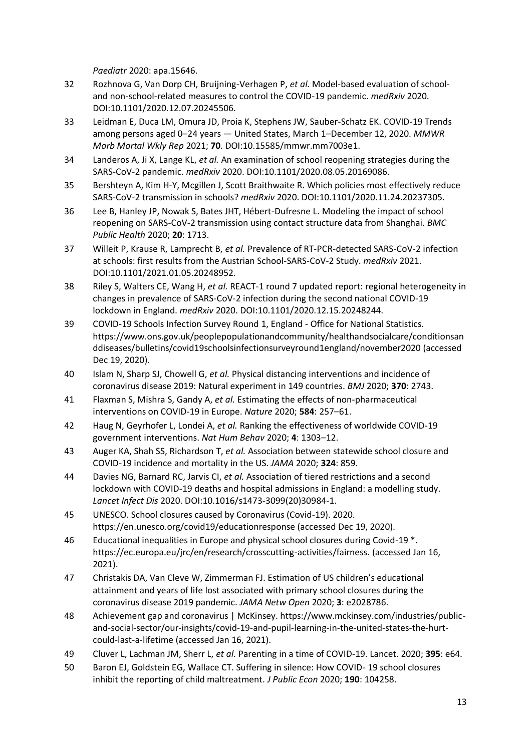*Paediatr* 2020: apa.15646.

- 32 Rozhnova G, Van Dorp CH, Bruijning-Verhagen P, *et al.* Model-based evaluation of schooland non-school-related measures to control the COVID-19 pandemic. *medRxiv* 2020. DOI:10.1101/2020.12.07.20245506.
- 33 Leidman E, Duca LM, Omura JD, Proia K, Stephens JW, Sauber-Schatz EK. COVID-19 Trends among persons aged 0–24 years — United States, March 1–December 12, 2020. *MMWR Morb Mortal Wkly Rep* 2021; **70**. DOI:10.15585/mmwr.mm7003e1.
- 34 Landeros A, Ji X, Lange KL, *et al.* An examination of school reopening strategies during the SARS-CoV-2 pandemic. *medRxiv* 2020. DOI:10.1101/2020.08.05.20169086.
- 35 Bershteyn A, Kim H-Y, Mcgillen J, Scott Braithwaite R. Which policies most effectively reduce SARS-CoV-2 transmission in schools? *medRxiv* 2020. DOI:10.1101/2020.11.24.20237305.
- 36 Lee B, Hanley JP, Nowak S, Bates JHT, Hébert-Dufresne L. Modeling the impact of school reopening on SARS-CoV-2 transmission using contact structure data from Shanghai. *BMC Public Health* 2020; **20**: 1713.
- 37 Willeit P, Krause R, Lamprecht B, *et al.* Prevalence of RT-PCR-detected SARS-CoV-2 infection at schools: first results from the Austrian School-SARS-CoV-2 Study. *medRxiv* 2021. DOI:10.1101/2021.01.05.20248952.
- 38 Riley S, Walters CE, Wang H, *et al.* REACT-1 round 7 updated report: regional heterogeneity in changes in prevalence of SARS-CoV-2 infection during the second national COVID-19 lockdown in England. *medRxiv* 2020. DOI:10.1101/2020.12.15.20248244.
- 39 COVID-19 Schools Infection Survey Round 1, England Office for National Statistics. https://www.ons.gov.uk/peoplepopulationandcommunity/healthandsocialcare/conditionsan ddiseases/bulletins/covid19schoolsinfectionsurveyround1england/november2020 (accessed Dec 19, 2020).
- 40 Islam N, Sharp SJ, Chowell G, *et al.* Physical distancing interventions and incidence of coronavirus disease 2019: Natural experiment in 149 countries. *BMJ* 2020; **370**: 2743.
- 41 Flaxman S, Mishra S, Gandy A, *et al.* Estimating the effects of non-pharmaceutical interventions on COVID-19 in Europe. *Nature* 2020; **584**: 257–61.
- 42 Haug N, Geyrhofer L, Londei A, *et al.* Ranking the effectiveness of worldwide COVID-19 government interventions. *Nat Hum Behav* 2020; **4**: 1303–12.
- 43 Auger KA, Shah SS, Richardson T, *et al.* Association between statewide school closure and COVID-19 incidence and mortality in the US. *JAMA* 2020; **324**: 859.
- 44 Davies NG, Barnard RC, Jarvis CI, *et al.* Association of tiered restrictions and a second lockdown with COVID-19 deaths and hospital admissions in England: a modelling study. *Lancet Infect Dis* 2020. DOI:10.1016/s1473-3099(20)30984-1.
- 45 UNESCO. School closures caused by Coronavirus (Covid-19). 2020. https://en.unesco.org/covid19/educationresponse (accessed Dec 19, 2020).
- 46 Educational inequalities in Europe and physical school closures during Covid-19 \*. https://ec.europa.eu/jrc/en/research/crosscutting-activities/fairness. (accessed Jan 16, 2021).
- 47 Christakis DA, Van Cleve W, Zimmerman FJ. Estimation of US children's educational attainment and years of life lost associated with primary school closures during the coronavirus disease 2019 pandemic. *JAMA Netw Open* 2020; **3**: e2028786.
- 48 Achievement gap and coronavirus | McKinsey. https://www.mckinsey.com/industries/publicand-social-sector/our-insights/covid-19-and-pupil-learning-in-the-united-states-the-hurtcould-last-a-lifetime (accessed Jan 16, 2021).
- 49 Cluver L, Lachman JM, Sherr L, *et al.* Parenting in a time of COVID-19. Lancet. 2020; **395**: e64.
- 50 Baron EJ, Goldstein EG, Wallace CT. Suffering in silence: How COVID- 19 school closures inhibit the reporting of child maltreatment. *J Public Econ* 2020; **190**: 104258.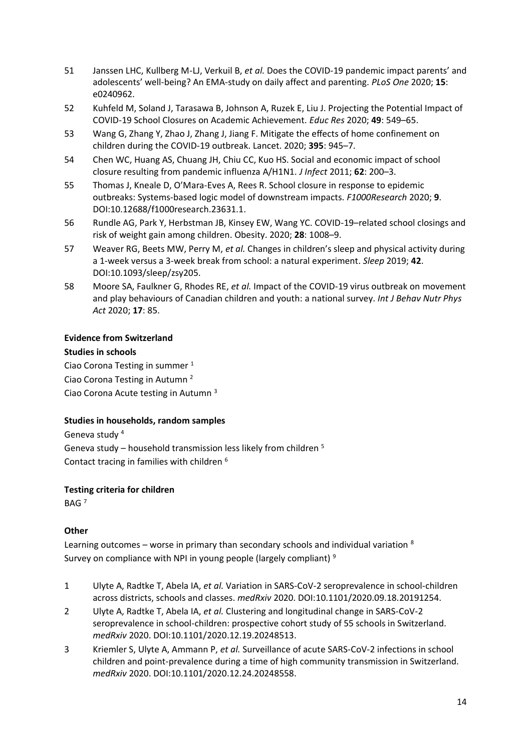- 51 Janssen LHC, Kullberg M-LJ, Verkuil B, *et al.* Does the COVID-19 pandemic impact parents' and adolescents' well-being? An EMA-study on daily affect and parenting. *PLoS One* 2020; **15**: e0240962.
- 52 Kuhfeld M, Soland J, Tarasawa B, Johnson A, Ruzek E, Liu J. Projecting the Potential Impact of COVID-19 School Closures on Academic Achievement. *Educ Res* 2020; **49**: 549–65.
- 53 Wang G, Zhang Y, Zhao J, Zhang J, Jiang F. Mitigate the effects of home confinement on children during the COVID-19 outbreak. Lancet. 2020; **395**: 945–7.
- 54 Chen WC, Huang AS, Chuang JH, Chiu CC, Kuo HS. Social and economic impact of school closure resulting from pandemic influenza A/H1N1. *J Infect* 2011; **62**: 200–3.
- 55 Thomas J, Kneale D, O'Mara-Eves A, Rees R. School closure in response to epidemic outbreaks: Systems-based logic model of downstream impacts. *F1000Research* 2020; **9**. DOI:10.12688/f1000research.23631.1.
- 56 Rundle AG, Park Y, Herbstman JB, Kinsey EW, Wang YC. COVID-19–related school closings and risk of weight gain among children. Obesity. 2020; **28**: 1008–9.
- 57 Weaver RG, Beets MW, Perry M, *et al.* Changes in children's sleep and physical activity during a 1-week versus a 3-week break from school: a natural experiment. *Sleep* 2019; **42**. DOI:10.1093/sleep/zsy205.
- 58 Moore SA, Faulkner G, Rhodes RE, *et al.* Impact of the COVID-19 virus outbreak on movement and play behaviours of Canadian children and youth: a national survey. *Int J Behav Nutr Phys Act* 2020; **17**: 85.

# **Evidence from Switzerland**

# **Studies in schools**

Ciao Corona Testing in summer <sup>1</sup> Ciao Corona Testing in Autumn <sup>2</sup> Ciao Corona Acute testing in Autumn <sup>3</sup>

# **Studies in households, random samples**

Geneva study <sup>4</sup> Geneva study – household transmission less likely from children <sup>5</sup> Contact tracing in families with children <sup>6</sup>

**Testing criteria for children**

BAG <sup>7</sup>

# **Other**

Learning outcomes – worse in primary than secondary schools and individual variation 8 Survey on compliance with NPI in young people (largely compliant)<sup>9</sup>

- 1 Ulyte A, Radtke T, Abela IA, *et al.* Variation in SARS-CoV-2 seroprevalence in school-children across districts, schools and classes. *medRxiv* 2020. DOI:10.1101/2020.09.18.20191254.
- 2 Ulyte A, Radtke T, Abela IA, *et al.* Clustering and longitudinal change in SARS-CoV-2 seroprevalence in school-children: prospective cohort study of 55 schools in Switzerland. *medRxiv* 2020. DOI:10.1101/2020.12.19.20248513.
- 3 Kriemler S, Ulyte A, Ammann P, *et al.* Surveillance of acute SARS-CoV-2 infections in school children and point-prevalence during a time of high community transmission in Switzerland. *medRxiv* 2020. DOI:10.1101/2020.12.24.20248558.